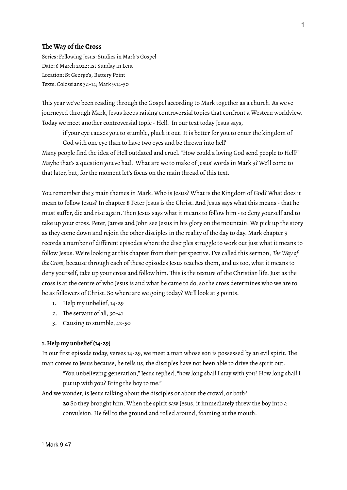## **The Way of the Cross**

Series: Following Jesus: Studies in Mark's Gospel Date: 6 March 2022; 1st Sunday in Lent Location: St George's, Battery Point Texts: Colossians 3:1-14; Mark 9:14-50

This year we've been reading through the Gospel according to Mark together as a church. As we've journeyed through Mark, Jesus keeps raising controversial topics that confront a Western worldview. Today we meet another controversial topic - Hell. In our text today Jesus says,

if your eye causes you to stumble, pluck it out. It is better for you to enter the kingdom of God with one eye than to have two eyes and be thrown into hell<sup>1</sup>

Many people find the idea of Hell outdated and cruel."How could a loving God send people to Hell?" Maybe that's a question you've had. What are we to make of Jesus' words in Mark 9? We'll come to that later, but, for the moment let's focus on the main thread of this text.

You remember the 3 main themes in Mark. Who is Jesus? What is the Kingdom of God? What does it mean to follow Jesus? In chapter 8 Peter Jesus is the Christ. And Jesus says what this means -that he must suffer, die and rise again. Then Jesus says what it means to follow him -to deny yourself and to take up your cross. Peter, James and John see Jesus in his glory on the mountain. We pick up the story as they come down and rejoin the other disciples in the reality of the day to day. Mark chapter 9 records a number of different episodes where the disciples struggle to work out just what it means to follow Jesus. We're looking at this chapter from their perspective.I've called this sermon, *The Way of the Cross*, because through each of these episodes Jesus teaches them, and us too, what it means to deny yourself, take up your cross and follow him. This is the texture of the Christian life. Just as the cross is at the centre of who Jesus is and what he came to do, so the cross determines who we are to be as followers of Christ. So where are we going today? We'll look at 3 points.

- 1. Help my unbelief, 14-29
- 2. The servant of all, 30-41
- 3. Causing to stumble, 42-50

## **1. Help my unbelief (14-29)**

In our first episode today, verses 14-29, we meet a man whose son is possessed by an evil spirit. The man comes to Jesus because, he tells us, the disciples have not been able to drive the spirit out.

"You unbelieving generation," Jesus replied,"how long shall I stay with you? How long shall I put up with you? Bring the boy to me."

And we wonder, is Jesus talking about the disciples or about the crowd, or both? **20** So they brought him. When the spirit saw Jesus, it immediately threw the boy into a convulsion. He fell to the ground and rolled around, foaming at the mouth.

<sup>1</sup> Mark 9.47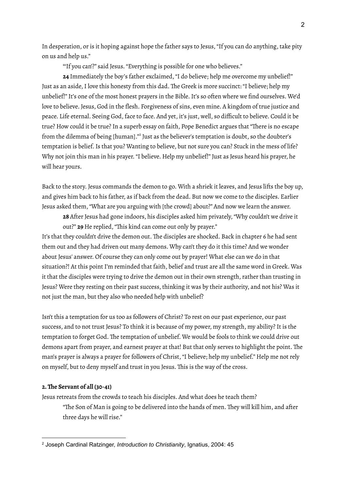In desperation, or is it hoping against hope the father says to Jesus,"If you can do anything, take pity on us and help us."

"If you can'?" said Jesus. "Everything is possible for one who believes."

**24** Immediately the boy's father exclaimed, "I do believe; help me overcome my unbelief!" Just as an aside,I love this honesty from this dad. The Greek is more succinct: "I believe; help my unbelief!" It's one of the most honest prayers in the Bible. It's so often where we find ourselves. We'd love to believe. Jesus, God in the flesh. Forgiveness of sins, even mine. A kingdom of true justice and peace. Life eternal. Seeing God, face to face. And yet, it's just, well, so difficult to believe. Could it be true? How could it be true? In a superb essay on faith, Pope Benedict argues that "There is no escape from the dilemma of being [human]."<sup>2</sup> Just as the believer's temptation is doubt, so the doubter's temptation is belief. Is that you? Wanting to believe, but not sure you can? Stuck in the mess of life? Why not join this man in his prayer."I believe. Help my unbelief!" Just as Jesus heard his prayer, he will hear yours.

Back to the story. Jesus commands the demon to go. With a shriek it leaves, and Jesus lifts the boy up, and gives him back to his father, as if back from the dead. But now we come to the disciples. Earlier Jesus asked them,"What are you arguing with [the crowd] about?" And now we learn the answer.

**28** After Jesus had gone indoors, his disciples asked him privately,"Why couldn't we drive it out?" **29** He replied,"This kind can come out only by prayer."

It's that they couldn't drive the demon out. The disciples are shocked. Back in chapter 6 he had sent them out and they had driven out many demons. Why can't they do it this time? And we wonder about Jesus' answer. Of course they can only come out by prayer! What else can we do in that situation?! At this point I'm reminded that faith, belief and trust are all the same word in Greek. Was it that the disciples were trying to drive the demon out in their own strength, rather than trusting in Jesus? Were they resting on their past success, thinking it was by their authority, and not his? Was it not just the man, but they also who needed help with unbelief?

Isn't this a temptation for us too as followers of Christ? To rest on our past experience, our past success, and to not trust Jesus? To think it is because of my power, my strength, my ability? It is the temptation to forget God. The temptation of unbelief. We would be fools to think we could drive out demons apart from prayer, and earnest prayer at that! But that only serves to highlight the point. The man's prayer is always a prayer for followers of Christ, "I believe; help my unbelief." Help me not rely on myself, but to deny myself and trust in you Jesus. This is the way of the cross.

## **2.The Servant of all (30-41)**

Jesus retreats from the crowds to teach his disciples. And what does he teach them? "The Son of Man is going to be delivered into the hands of men. They will kill him, and after three days he will rise."

<sup>2</sup> Joseph Cardinal Ratzinger, *Introduction to Christianity*, Ignatius, 2004: 45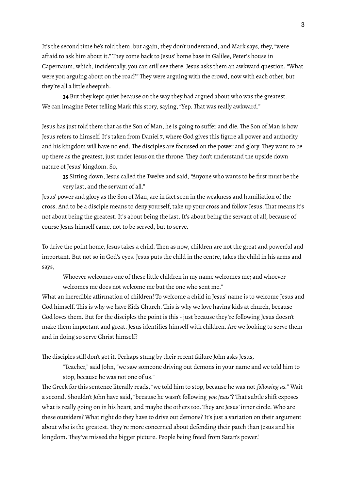It's the second time he's told them, but again, they don't understand, and Mark says, they,"were afraid to ask him about it." They come back to Jesus' home base in Galilee, Peter's house in Capernaum, which, incidentally, you can still see there. Jesus asks them an awkward question."What were you arguing about on the road?" They were arguing with the crowd, now with each other, but they're all a little sheepish.

**34** But they kept quiet because on the way they had argued about who was the greatest. We can imagine Peter telling Mark this story, saying, "Yep. That was really awkward."

Jesus has just told them that as the Son of Man, he is going to suffer and die. The Son of Man is how Jesus refers to himself. It's taken from Daniel 7, where God gives this figure all power and authority and his kingdom will have no end. The disciples are focussed on the power and glory. They want to be up there as the greatest, just under Jesus on the throne. They don't understand the upside down nature of Jesus' kingdom. So,

**35** Sitting down, Jesus called the Twelve and said, "Anyone who wants to be first must be the very last, and the servant of all."

Jesus' power and glory as the Son of Man, are in fact seen in the weakness and humiliation of the cross. And to be a disciple means to deny yourself, take up your cross and follow Jesus. That means it's not about being the greatest.It's about being the last.It's about being the servant of all, because of course Jesus himself came, not to be served, but to serve.

To drive the point home, Jesus takes a child. Then as now, children are not the great and powerful and important. But not so in God's eyes. Jesus puts the child in the centre, takes the child in his arms and says,

Whoever welcomes one of these little children in my name welcomes me; and whoever welcomes me does not welcome me but the one who sent me."

What an incredible affirmation of children! To welcome a child in Jesus' name is to welcome Jesus and God himself. This is why we have Kids Church. This is why we love having kids at church, because God loves them. But for the disciples the point is this - just because they're following Jesus doesn't make them important and great. Jesus identifies himself with children. Are we looking to serve them and in doing so serve Christ himself?

The disciples still don't get it. Perhaps stung by their recent failure John asks Jesus,

"Teacher," said John,"we saw someone driving out demons in your name and we told him to stop, because he was not one of us."

The Greek for this sentence literally reads,"we told him to stop, because he was not *following us.*" Wait a second. Shouldn't John have said,"because he wasn't following *you Jesus"*? That subtle shift exposes what is really going on in his heart, and maybe the others too. They are Jesus' inner circle. Who are these outsiders? What right do they have to drive out demons? It's just a variation on their argument about who is the greatest. They're more concerned about defending their patch than Jesus and his kingdom. They've missed the bigger picture. People being freed from Satan's power!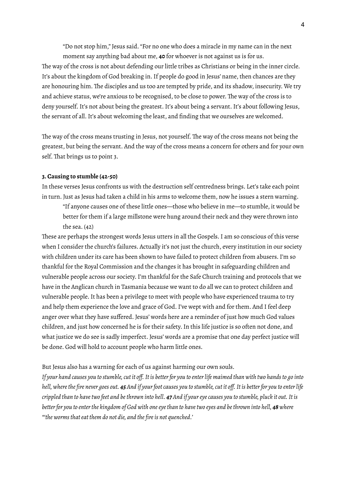"Do not stop him," Jesus said."For no one who does a miracle in my name can in the next moment say anything bad about me, **40** for whoever is not against us is for us.

The way of the cross is not about defending our little tribes as Christians or being in the inner circle. It's about the kingdom of God breaking in. If people do good in Jesus' name, then chances are they are honouring him. The disciples and us too are tempted by pride, and its shadow, insecurity. We try and achieve status, we're anxious to be recognised, to be close to power. The way of the cross is to deny yourself. It's not about being the greatest. It's about being a servant. It's about following Jesus, the servant of all. It's about welcoming the least, and finding that we ourselves are welcomed.

The way of the cross means trusting in Jesus, not yourself. The way of the cross means not being the greatest, but being the servant. And the way of the cross means a concern for others and for your own self. That brings us to point 3.

## **3.Causing to stumble (42-50)**

In these verses Jesus confronts us with the destruction self centredness brings. Let's take each point in turn. Just as Jesus had taken a child in his arms to welcome them, now he issues a stern warning.

"If anyone causes one of these little ones—those who believe in me—to stumble, it would be better for them if a large millstone were hung around their neck and they were thrown into the sea. (42)

These are perhaps the strongest words Jesus utters in all the Gospels.I am so conscious of this verse when I consider the church's failures. Actually it's not just the church, every institution in our society with children under its care has been shown to have failed to protect children from abusers. I'm so thankful for the Royal Commission and the changes it has brought in safeguarding children and vulnerable people across our society.I'm thankful for the Safe Church training and protocols that we have in the Anglican church in Tasmania because we want to do all we can to protect children and vulnerable people.It has been a privilege to meet with people who have experienced trauma to try and help them experience the love and grace of God. I've wept with and for them. And I feel deep anger over what they have suffered. Jesus' words here are a reminder of just how much God values children, and just how concerned he is for their safety.In this life justice is so often not done, and what justice we do see is sadly imperfect. Jesus' words are a promise that one day perfect justice will be done. God will hold to account people who harm little ones.

But Jesus also has a warning for each of us against harming our own souls.

If your hand causes you to stumble, cut it off. It is better for you to enter life maimed than with two hands to go into hell, where the fire never goes out. 45 And if your foot causes you to stumble, cut it off. It is better for you to enter life crippled than to have two feet and be thrown into hell. 47 And if your eye causes you to stumble, pluck it out. It is better for you to enter the kingdom of God with one eye than to have two eyes and be thrown into hell, 48 where *"'the wormsthateat them do not die, and the fireis not quenched.'*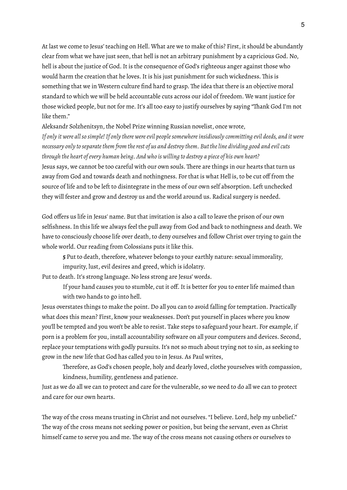At last we come to Jesus' teaching on Hell. What are we to make of this? First, it should be abundantly clear from what we have just seen, that hell is not an arbitrary punishment by a capricious God. No, hell is about the justice of God. It is the consequence of God's righteous anger against those who would harm the creation that he loves. It is his just punishment for such wickedness. This is something that we in Western culture find hard to grasp. The idea that there is an objective moral standard to which we will be held accountable cuts across our idol of freedom. We want justice for those wicked people, but not for me. It's all too easy to justify ourselves by saying "Thank God I'm not like them."

Aleksandr Solzhenitsyn, the Nobel Prize winning Russian novelist, once wrote,

If only it were all so simple! If only there were evil people somewhere insidiously committing evil deeds, and it were necessary only to separate them from the rest of us and destroy them. But the line dividing good and evil cuts *through the heart ofevery human being. And who is willing to destroy a piece of his own heart?* Jesus says, we cannot be too careful with our own souls. There are things in our hearts that turn us away from God and towards death and nothingness. For that is what Hell is, to be cut off from the source of life and to be left to disintegrate in the mess of our own self absorption. Left unchecked they will fester and grow and destroy us and the world around us. Radical surgery is needed.

God offers us life in Jesus' name. But that invitation is also a call to leave the prison of our own selfishness.In this life we always feel the pull away from God and back to nothingness and death. We have to consciously choose life over death, to deny ourselves and follow Christ over trying to gain the whole world. Our reading from Colossians puts it like this.

**5** Put to death, therefore, whatever belongs to your earthly nature: sexual immorality, impurity, lust, evil desires and greed, which is idolatry.

Put to death. It's strong language. No less strong are Jesus' words.

If your hand causes you to stumble, cut it off. It is better for you to enter life maimed than with two hands to go into hell.

Jesus overstates things to make the point. Do all you can to avoid falling for temptation. Practically what does this mean? First, know your weaknesses. Don't put yourself in places where you know you'll be tempted and you won't be able to resist. Take steps to safeguard your heart. For example, if porn is a problem for you, install accountability software on all your computers and devices. Second, replace your temptations with godly pursuits. It's not so much about trying not to sin, as seeking to grow in the new life that God has called you to in Jesus. As Paul writes,

Therefore, as God's chosen people, holy and dearly loved, clothe yourselves with compassion, kindness, humility, gentleness and patience.

Just as we do all we can to protect and care for the vulnerable, so we need to do all we can to protect and care for our own hearts.

The way of the cross means trusting in Christ and not ourselves. "I believe. Lord, help my unbelief." The way of the cross means not seeking power or position, but being the servant, even as Christ himself came to serve you and me. The way of the cross means not causing others or ourselves to